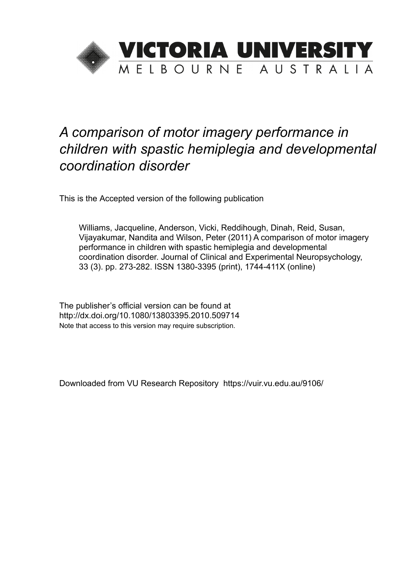

# *A comparison of motor imagery performance in children with spastic hemiplegia and developmental coordination disorder*

This is the Accepted version of the following publication

Williams, Jacqueline, Anderson, Vicki, Reddihough, Dinah, Reid, Susan, Vijayakumar, Nandita and Wilson, Peter (2011) A comparison of motor imagery performance in children with spastic hemiplegia and developmental coordination disorder. Journal of Clinical and Experimental Neuropsychology, 33 (3). pp. 273-282. ISSN 1380-3395 (print), 1744-411X (online)

The publisher's official version can be found at http://dx.doi.org/10.1080/13803395.2010.509714 Note that access to this version may require subscription.

Downloaded from VU Research Repository https://vuir.vu.edu.au/9106/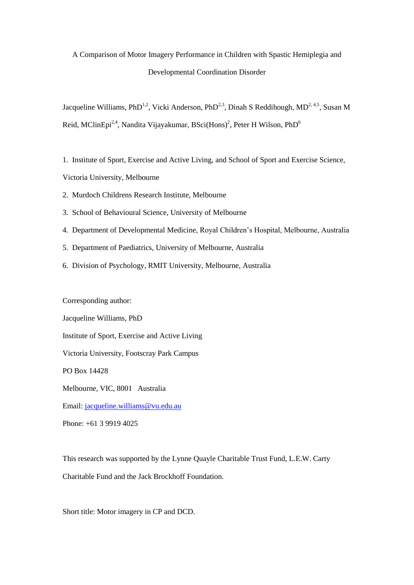# A Comparison of Motor Imagery Performance in Children with Spastic Hemiplegia and Developmental Coordination Disorder

Jacqueline Williams, PhD<sup>1,2</sup>, Vicki Anderson, PhD<sup>2,3</sup>, Dinah S Reddihough, MD<sup>2, 4,5</sup>, Susan M Reid, MClinEpi<sup>24</sup>, Nandita Vijayakumar, BSci(Hons)<sup>2</sup>, Peter H Wilson, PhD<sup>6</sup>

1. Institute of Sport, Exercise and Active Living, and School of Sport and Exercise Science,

Victoria University, Melbourne

- 2. Murdoch Childrens Research Institute, Melbourne
- 3. School of Behavioural Science, University of Melbourne
- 4. Department of Developmental Medicine, Royal Children's Hospital, Melbourne, Australia
- 5. Department of Paediatrics, University of Melbourne, Australia
- 6. Division of Psychology, RMIT University, Melbourne, Australia

Corresponding author:

Jacqueline Williams, PhD

Institute of Sport, Exercise and Active Living

Victoria University, Footscray Park Campus

PO Box 14428

Melbourne, VIC, 8001 Australia

Email: [jacqueline.williams@vu.edu.au](mailto:jacqueline.williams@vu.edu.au)

Phone: +61 3 9919 4025

This research was supported by the Lynne Quayle Charitable Trust Fund, L.E.W. Carty Charitable Fund and the Jack Brockhoff Foundation.

Short title: Motor imagery in CP and DCD.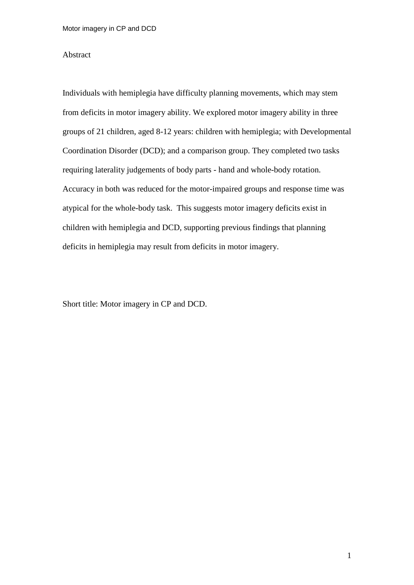#### Abstract

Individuals with hemiplegia have difficulty planning movements, which may stem from deficits in motor imagery ability. We explored motor imagery ability in three groups of 21 children, aged 8-12 years: children with hemiplegia; with Developmental Coordination Disorder (DCD); and a comparison group. They completed two tasks requiring laterality judgements of body parts - hand and whole-body rotation. Accuracy in both was reduced for the motor-impaired groups and response time was atypical for the whole-body task. This suggests motor imagery deficits exist in children with hemiplegia and DCD, supporting previous findings that planning deficits in hemiplegia may result from deficits in motor imagery.

Short title: Motor imagery in CP and DCD.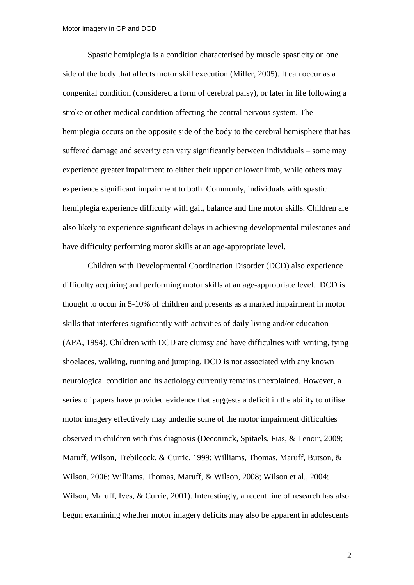Spastic hemiplegia is a condition characterised by muscle spasticity on one side of the body that affects motor skill execution (Miller, 2005). It can occur as a congenital condition (considered a form of cerebral palsy), or later in life following a stroke or other medical condition affecting the central nervous system. The hemiplegia occurs on the opposite side of the body to the cerebral hemisphere that has suffered damage and severity can vary significantly between individuals – some may experience greater impairment to either their upper or lower limb, while others may experience significant impairment to both. Commonly, individuals with spastic hemiplegia experience difficulty with gait, balance and fine motor skills. Children are also likely to experience significant delays in achieving developmental milestones and have difficulty performing motor skills at an age-appropriate level.

Children with Developmental Coordination Disorder (DCD) also experience difficulty acquiring and performing motor skills at an age-appropriate level. DCD is thought to occur in 5-10% of children and presents as a marked impairment in motor skills that interferes significantly with activities of daily living and/or education (APA, 1994). Children with DCD are clumsy and have difficulties with writing, tying shoelaces, walking, running and jumping. DCD is not associated with any known neurological condition and its aetiology currently remains unexplained. However, a series of papers have provided evidence that suggests a deficit in the ability to utilise motor imagery effectively may underlie some of the motor impairment difficulties observed in children with this diagnosis (Deconinck, Spitaels, Fias, & Lenoir, 2009; Maruff, Wilson, Trebilcock, & Currie, 1999; Williams, Thomas, Maruff, Butson, & Wilson, 2006; Williams, Thomas, Maruff, & Wilson, 2008; Wilson et al., 2004; Wilson, Maruff, Ives, & Currie, 2001). Interestingly, a recent line of research has also begun examining whether motor imagery deficits may also be apparent in adolescents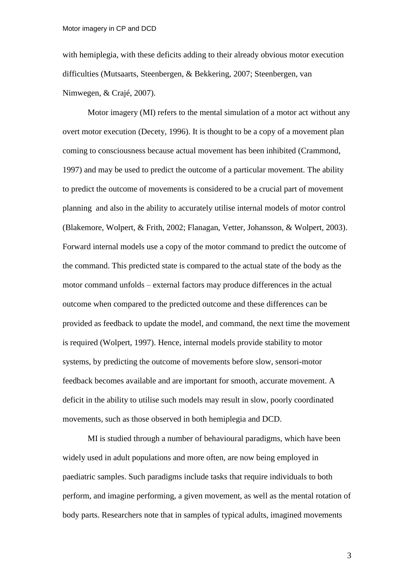with hemiplegia, with these deficits adding to their already obvious motor execution difficulties (Mutsaarts, Steenbergen, & Bekkering, 2007; Steenbergen, van Nimwegen, & Crajé, 2007).

Motor imagery (MI) refers to the mental simulation of a motor act without any overt motor execution (Decety, 1996). It is thought to be a copy of a movement plan coming to consciousness because actual movement has been inhibited (Crammond, 1997) and may be used to predict the outcome of a particular movement. The ability to predict the outcome of movements is considered to be a crucial part of movement planning and also in the ability to accurately utilise internal models of motor control (Blakemore, Wolpert, & Frith, 2002; Flanagan, Vetter, Johansson, & Wolpert, 2003). Forward internal models use a copy of the motor command to predict the outcome of the command. This predicted state is compared to the actual state of the body as the motor command unfolds – external factors may produce differences in the actual outcome when compared to the predicted outcome and these differences can be provided as feedback to update the model, and command, the next time the movement is required (Wolpert, 1997). Hence, internal models provide stability to motor systems, by predicting the outcome of movements before slow, sensori-motor feedback becomes available and are important for smooth, accurate movement. A deficit in the ability to utilise such models may result in slow, poorly coordinated movements, such as those observed in both hemiplegia and DCD.

MI is studied through a number of behavioural paradigms, which have been widely used in adult populations and more often, are now being employed in paediatric samples. Such paradigms include tasks that require individuals to both perform, and imagine performing, a given movement, as well as the mental rotation of body parts. Researchers note that in samples of typical adults, imagined movements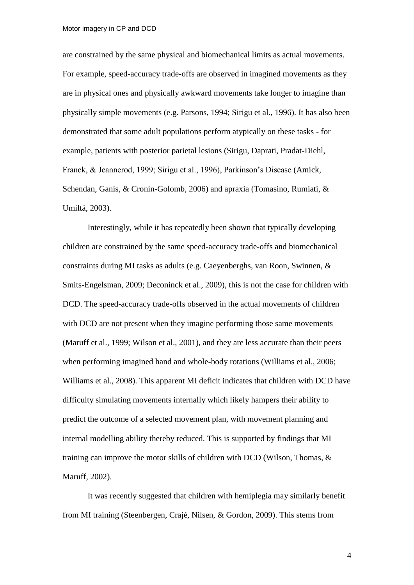are constrained by the same physical and biomechanical limits as actual movements. For example, speed-accuracy trade-offs are observed in imagined movements as they are in physical ones and physically awkward movements take longer to imagine than physically simple movements (e.g. Parsons, 1994; Sirigu et al., 1996). It has also been demonstrated that some adult populations perform atypically on these tasks - for example, patients with posterior parietal lesions (Sirigu, Daprati, Pradat-Diehl, Franck, & Jeannerod, 1999; Sirigu et al., 1996), Parkinson's Disease (Amick, Schendan, Ganis, & Cronin-Golomb, 2006) and apraxia (Tomasino, Rumiati, & Umiltá, 2003).

Interestingly, while it has repeatedly been shown that typically developing children are constrained by the same speed-accuracy trade-offs and biomechanical constraints during MI tasks as adults (e.g. Caeyenberghs, van Roon, Swinnen, & Smits-Engelsman, 2009; Deconinck et al., 2009), this is not the case for children with DCD. The speed-accuracy trade-offs observed in the actual movements of children with DCD are not present when they imagine performing those same movements (Maruff et al., 1999; Wilson et al., 2001), and they are less accurate than their peers when performing imagined hand and whole-body rotations (Williams et al., 2006; Williams et al., 2008). This apparent MI deficit indicates that children with DCD have difficulty simulating movements internally which likely hampers their ability to predict the outcome of a selected movement plan, with movement planning and internal modelling ability thereby reduced. This is supported by findings that MI training can improve the motor skills of children with DCD (Wilson, Thomas, & Maruff, 2002).

It was recently suggested that children with hemiplegia may similarly benefit from MI training (Steenbergen, Crajé, Nilsen, & Gordon, 2009). This stems from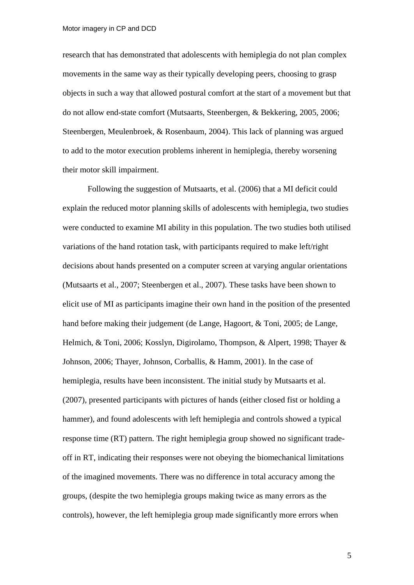research that has demonstrated that adolescents with hemiplegia do not plan complex movements in the same way as their typically developing peers, choosing to grasp objects in such a way that allowed postural comfort at the start of a movement but that do not allow end-state comfort (Mutsaarts, Steenbergen, & Bekkering, 2005, 2006; Steenbergen, Meulenbroek, & Rosenbaum, 2004). This lack of planning was argued to add to the motor execution problems inherent in hemiplegia, thereby worsening their motor skill impairment.

Following the suggestion of Mutsaarts, et al. (2006) that a MI deficit could explain the reduced motor planning skills of adolescents with hemiplegia, two studies were conducted to examine MI ability in this population. The two studies both utilised variations of the hand rotation task, with participants required to make left/right decisions about hands presented on a computer screen at varying angular orientations (Mutsaarts et al., 2007; Steenbergen et al., 2007). These tasks have been shown to elicit use of MI as participants imagine their own hand in the position of the presented hand before making their judgement (de Lange, Hagoort, & Toni, 2005; de Lange, Helmich, & Toni, 2006; Kosslyn, Digirolamo, Thompson, & Alpert, 1998; Thayer & Johnson, 2006; Thayer, Johnson, Corballis, & Hamm, 2001). In the case of hemiplegia, results have been inconsistent. The initial study by Mutsaarts et al. (2007), presented participants with pictures of hands (either closed fist or holding a hammer), and found adolescents with left hemiplegia and controls showed a typical response time (RT) pattern. The right hemiplegia group showed no significant tradeoff in RT, indicating their responses were not obeying the biomechanical limitations of the imagined movements. There was no difference in total accuracy among the groups, (despite the two hemiplegia groups making twice as many errors as the controls), however, the left hemiplegia group made significantly more errors when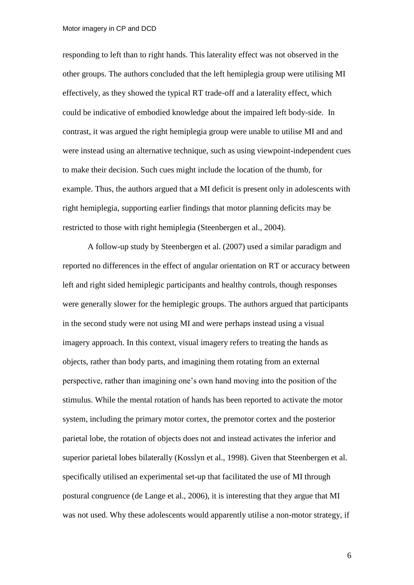responding to left than to right hands. This laterality effect was not observed in the other groups. The authors concluded that the left hemiplegia group were utilising MI effectively, as they showed the typical RT trade-off and a laterality effect, which could be indicative of embodied knowledge about the impaired left body-side. In contrast, it was argued the right hemiplegia group were unable to utilise MI and and were instead using an alternative technique, such as using viewpoint-independent cues to make their decision. Such cues might include the location of the thumb, for example. Thus, the authors argued that a MI deficit is present only in adolescents with right hemiplegia, supporting earlier findings that motor planning deficits may be restricted to those with right hemiplegia (Steenbergen et al., 2004).

A follow-up study by Steenbergen et al. (2007) used a similar paradigm and reported no differences in the effect of angular orientation on RT or accuracy between left and right sided hemiplegic participants and healthy controls, though responses were generally slower for the hemiplegic groups. The authors argued that participants in the second study were not using MI and were perhaps instead using a visual imagery approach. In this context, visual imagery refers to treating the hands as objects, rather than body parts, and imagining them rotating from an external perspective, rather than imagining one's own hand moving into the position of the stimulus. While the mental rotation of hands has been reported to activate the motor system, including the primary motor cortex, the premotor cortex and the posterior parietal lobe, the rotation of objects does not and instead activates the inferior and superior parietal lobes bilaterally (Kosslyn et al., 1998). Given that Steenbergen et al. specifically utilised an experimental set-up that facilitated the use of MI through postural congruence (de Lange et al., 2006), it is interesting that they argue that MI was not used. Why these adolescents would apparently utilise a non-motor strategy, if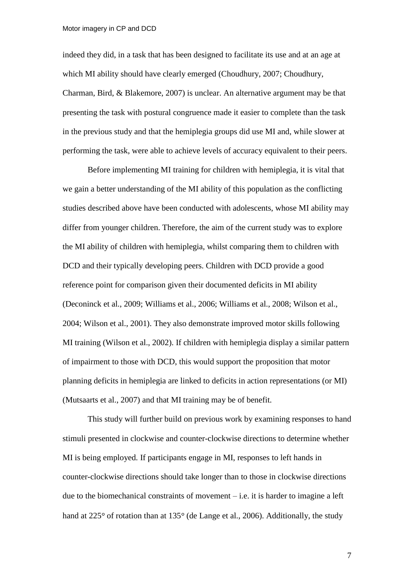indeed they did, in a task that has been designed to facilitate its use and at an age at which MI ability should have clearly emerged (Choudhury, 2007; Choudhury, Charman, Bird, & Blakemore, 2007) is unclear. An alternative argument may be that presenting the task with postural congruence made it easier to complete than the task in the previous study and that the hemiplegia groups did use MI and, while slower at performing the task, were able to achieve levels of accuracy equivalent to their peers.

Before implementing MI training for children with hemiplegia, it is vital that we gain a better understanding of the MI ability of this population as the conflicting studies described above have been conducted with adolescents, whose MI ability may differ from younger children. Therefore, the aim of the current study was to explore the MI ability of children with hemiplegia, whilst comparing them to children with DCD and their typically developing peers. Children with DCD provide a good reference point for comparison given their documented deficits in MI ability (Deconinck et al., 2009; Williams et al., 2006; Williams et al., 2008; Wilson et al., 2004; Wilson et al., 2001). They also demonstrate improved motor skills following MI training (Wilson et al., 2002). If children with hemiplegia display a similar pattern of impairment to those with DCD, this would support the proposition that motor planning deficits in hemiplegia are linked to deficits in action representations (or MI) (Mutsaarts et al., 2007) and that MI training may be of benefit.

This study will further build on previous work by examining responses to hand stimuli presented in clockwise and counter-clockwise directions to determine whether MI is being employed. If participants engage in MI, responses to left hands in counter-clockwise directions should take longer than to those in clockwise directions due to the biomechanical constraints of movement – i.e. it is harder to imagine a left hand at  $225^{\circ}$  of rotation than at  $135^{\circ}$  (de Lange et al., 2006). Additionally, the study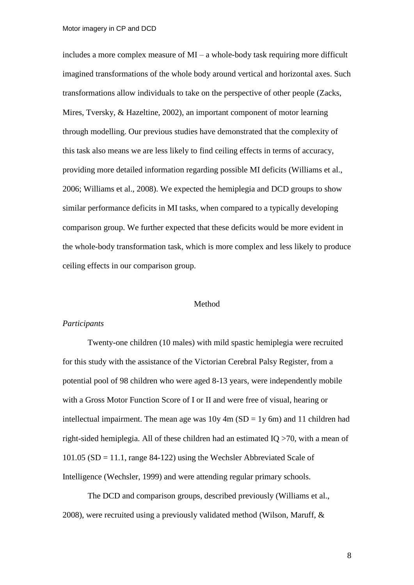includes a more complex measure of  $MI - a$  whole-body task requiring more difficult imagined transformations of the whole body around vertical and horizontal axes. Such transformations allow individuals to take on the perspective of other people (Zacks, Mires, Tversky, & Hazeltine, 2002), an important component of motor learning through modelling. Our previous studies have demonstrated that the complexity of this task also means we are less likely to find ceiling effects in terms of accuracy, providing more detailed information regarding possible MI deficits (Williams et al., 2006; Williams et al., 2008). We expected the hemiplegia and DCD groups to show similar performance deficits in MI tasks, when compared to a typically developing comparison group. We further expected that these deficits would be more evident in the whole-body transformation task, which is more complex and less likely to produce ceiling effects in our comparison group.

#### Method

# *Participants*

Twenty-one children (10 males) with mild spastic hemiplegia were recruited for this study with the assistance of the Victorian Cerebral Palsy Register, from a potential pool of 98 children who were aged 8-13 years, were independently mobile with a Gross Motor Function Score of I or II and were free of visual, hearing or intellectual impairment. The mean age was  $10y \, 4m$  (SD = 1y 6m) and 11 children had right-sided hemiplegia. All of these children had an estimated IQ >70, with a mean of 101.05 (SD = 11.1, range 84-122) using the Wechsler Abbreviated Scale of Intelligence (Wechsler, 1999) and were attending regular primary schools.

The DCD and comparison groups, described previously (Williams et al., 2008), were recruited using a previously validated method (Wilson, Maruff, &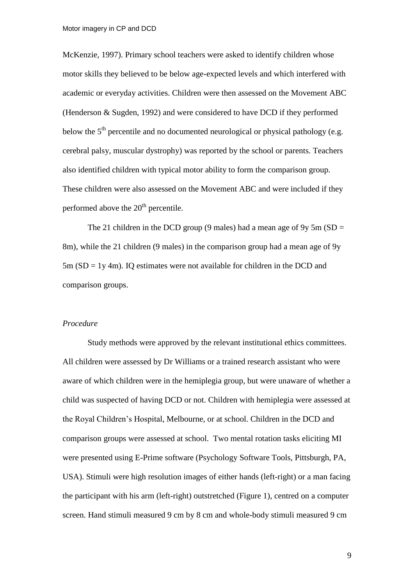McKenzie, 1997). Primary school teachers were asked to identify children whose motor skills they believed to be below age-expected levels and which interfered with academic or everyday activities. Children were then assessed on the Movement ABC (Henderson & Sugden, 1992) and were considered to have DCD if they performed below the  $5<sup>th</sup>$  percentile and no documented neurological or physical pathology (e.g. cerebral palsy, muscular dystrophy) was reported by the school or parents. Teachers also identified children with typical motor ability to form the comparison group. These children were also assessed on the Movement ABC and were included if they performed above the  $20<sup>th</sup>$  percentile.

The 21 children in the DCD group (9 males) had a mean age of 9y 5m ( $SD =$ 8m), while the 21 children (9 males) in the comparison group had a mean age of 9y  $5m (SD = 1y 4m)$ . IQ estimates were not available for children in the DCD and comparison groups.

# *Procedure*

Study methods were approved by the relevant institutional ethics committees. All children were assessed by Dr Williams or a trained research assistant who were aware of which children were in the hemiplegia group, but were unaware of whether a child was suspected of having DCD or not. Children with hemiplegia were assessed at the Royal Children's Hospital, Melbourne, or at school. Children in the DCD and comparison groups were assessed at school. Two mental rotation tasks eliciting MI were presented using E-Prime software (Psychology Software Tools, Pittsburgh, PA, USA). Stimuli were high resolution images of either hands (left-right) or a man facing the participant with his arm (left-right) outstretched (Figure 1), centred on a computer screen. Hand stimuli measured 9 cm by 8 cm and whole-body stimuli measured 9 cm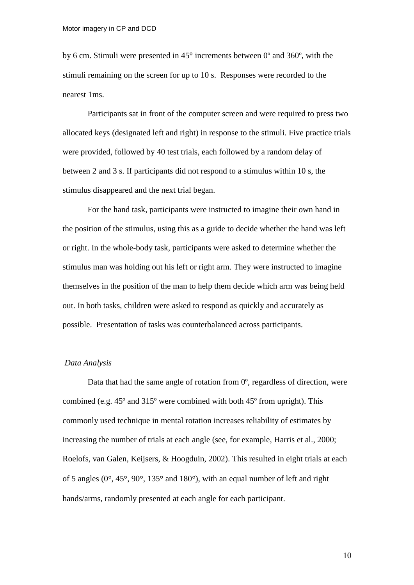by 6 cm. Stimuli were presented in  $45^{\circ}$  increments between 0 $^{\circ}$  and 360 $^{\circ}$ , with the stimuli remaining on the screen for up to 10 s. Responses were recorded to the nearest 1ms.

Participants sat in front of the computer screen and were required to press two allocated keys (designated left and right) in response to the stimuli. Five practice trials were provided, followed by 40 test trials, each followed by a random delay of between 2 and 3 s. If participants did not respond to a stimulus within 10 s, the stimulus disappeared and the next trial began.

For the hand task, participants were instructed to imagine their own hand in the position of the stimulus, using this as a guide to decide whether the hand was left or right. In the whole-body task, participants were asked to determine whether the stimulus man was holding out his left or right arm. They were instructed to imagine themselves in the position of the man to help them decide which arm was being held out. In both tasks, children were asked to respond as quickly and accurately as possible. Presentation of tasks was counterbalanced across participants.

#### *Data Analysis*

Data that had the same angle of rotation from  $0^{\circ}$ , regardless of direction, were combined (e.g. 45º and 315º were combined with both 45º from upright). This commonly used technique in mental rotation increases reliability of estimates by increasing the number of trials at each angle (see, for example, Harris et al., 2000; Roelofs, van Galen, Keijsers, & Hoogduin, 2002). This resulted in eight trials at each of 5 angles ( $0^\circ$ ,  $45^\circ$ ,  $90^\circ$ ,  $135^\circ$  and  $180^\circ$ ), with an equal number of left and right hands/arms, randomly presented at each angle for each participant.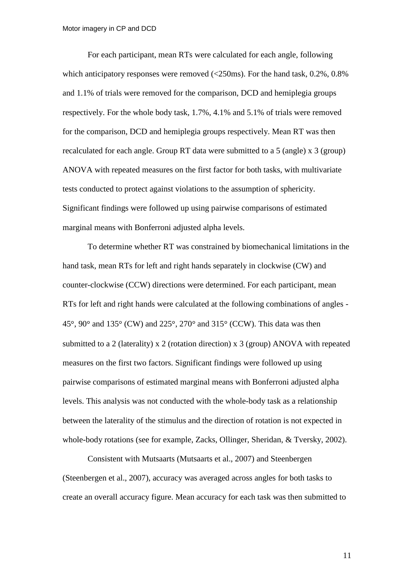For each participant, mean RTs were calculated for each angle, following which anticipatory responses were removed  $\langle \langle 250 \text{ms} \rangle$ . For the hand task, 0.2%, 0.8% and 1.1% of trials were removed for the comparison, DCD and hemiplegia groups respectively. For the whole body task, 1.7%, 4.1% and 5.1% of trials were removed for the comparison, DCD and hemiplegia groups respectively. Mean RT was then recalculated for each angle. Group RT data were submitted to a 5 (angle) x 3 (group) ANOVA with repeated measures on the first factor for both tasks, with multivariate tests conducted to protect against violations to the assumption of sphericity. Significant findings were followed up using pairwise comparisons of estimated marginal means with Bonferroni adjusted alpha levels.

To determine whether RT was constrained by biomechanical limitations in the hand task, mean RTs for left and right hands separately in clockwise (CW) and counter-clockwise (CCW) directions were determined. For each participant, mean RTs for left and right hands were calculated at the following combinations of angles - 45°, 90° and 135° (CW) and 225°, 270° and 315° (CCW). This data was then submitted to a 2 (laterality) x 2 (rotation direction) x 3 (group) ANOVA with repeated measures on the first two factors. Significant findings were followed up using pairwise comparisons of estimated marginal means with Bonferroni adjusted alpha levels. This analysis was not conducted with the whole-body task as a relationship between the laterality of the stimulus and the direction of rotation is not expected in whole-body rotations (see for example, Zacks, Ollinger, Sheridan, & Tversky, 2002).

Consistent with Mutsaarts (Mutsaarts et al., 2007) and Steenbergen (Steenbergen et al., 2007), accuracy was averaged across angles for both tasks to create an overall accuracy figure. Mean accuracy for each task was then submitted to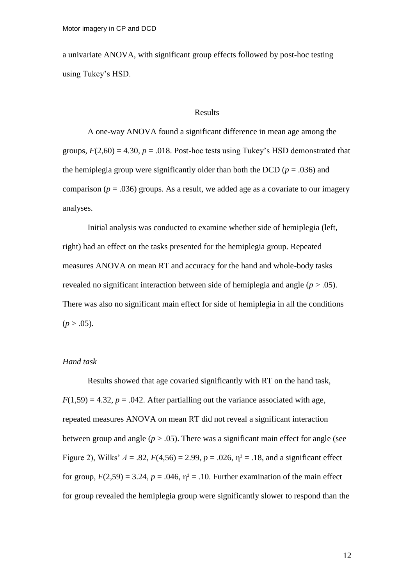a univariate ANOVA, with significant group effects followed by post-hoc testing using Tukey's HSD.

# Results

A one-way ANOVA found a significant difference in mean age among the groups,  $F(2,60) = 4.30$ ,  $p = .018$ . Post-hoc tests using Tukey's HSD demonstrated that the hemiplegia group were significantly older than both the DCD ( $p = .036$ ) and comparison ( $p = .036$ ) groups. As a result, we added age as a covariate to our imagery analyses.

Initial analysis was conducted to examine whether side of hemiplegia (left, right) had an effect on the tasks presented for the hemiplegia group. Repeated measures ANOVA on mean RT and accuracy for the hand and whole-body tasks revealed no significant interaction between side of hemiplegia and angle (*p* > .05). There was also no significant main effect for side of hemiplegia in all the conditions  $(p > .05)$ .

# *Hand task*

Results showed that age covaried significantly with RT on the hand task,  $F(1,59) = 4.32$ ,  $p = .042$ . After partialling out the variance associated with age, repeated measures ANOVA on mean RT did not reveal a significant interaction between group and angle  $(p > .05)$ . There was a significant main effect for angle (see Figure 2), Wilks'  $\Lambda = .82$ ,  $F(4,56) = 2.99$ ,  $p = .026$ ,  $\eta^2 = .18$ , and a significant effect for group,  $F(2,59) = 3.24$ ,  $p = .046$ ,  $\eta^2 = .10$ . Further examination of the main effect for group revealed the hemiplegia group were significantly slower to respond than the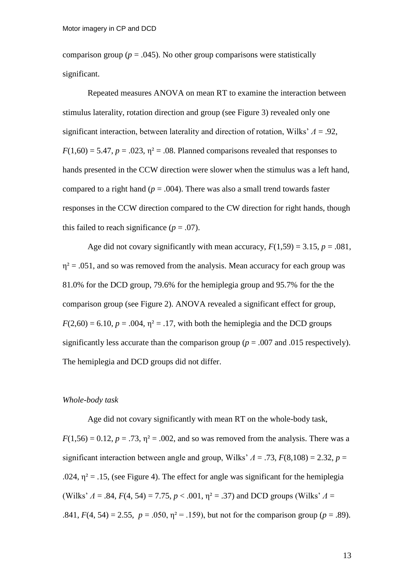comparison group ( $p = .045$ ). No other group comparisons were statistically significant.

Repeated measures ANOVA on mean RT to examine the interaction between stimulus laterality, rotation direction and group (see Figure 3) revealed only one significant interaction, between laterality and direction of rotation, Wilks' *Λ* = .92,  $F(1,60) = 5.47$ ,  $p = .023$ ,  $\eta^2 = .08$ . Planned comparisons revealed that responses to hands presented in the CCW direction were slower when the stimulus was a left hand, compared to a right hand ( $p = .004$ ). There was also a small trend towards faster responses in the CCW direction compared to the CW direction for right hands, though this failed to reach significance  $(p = .07)$ .

Age did not covary significantly with mean accuracy,  $F(1,59) = 3.15$ ,  $p = .081$ ,  $\eta^2$  = .051, and so was removed from the analysis. Mean accuracy for each group was 81.0% for the DCD group, 79.6% for the hemiplegia group and 95.7% for the the comparison group (see Figure 2). ANOVA revealed a significant effect for group,  $F(2,60) = 6.10$ ,  $p = .004$ ,  $\eta^2 = .17$ , with both the hemiplegia and the DCD groups significantly less accurate than the comparison group ( $p = .007$  and .015 respectively). The hemiplegia and DCD groups did not differ.

#### *Whole-body task*

Age did not covary significantly with mean RT on the whole-body task,  $F(1,56) = 0.12$ ,  $p = .73$ ,  $p^2 = .002$ , and so was removed from the analysis. There was a significant interaction between angle and group, Wilks'  $\Lambda = .73$ ,  $F(8,108) = 2.32$ ,  $p =$ .024,  $\eta^2$  = .15, (see Figure 4). The effect for angle was significant for the hemiplegia (Wilks'  $\Lambda = .84$ ,  $F(4, 54) = 7.75$ ,  $p < .001$ ,  $\eta^2 = .37$ ) and DCD groups (Wilks'  $\Lambda =$ .841,  $F(4, 54) = 2.55$ ,  $p = .050$ ,  $p^2 = .159$ ), but not for the comparison group ( $p = .89$ ).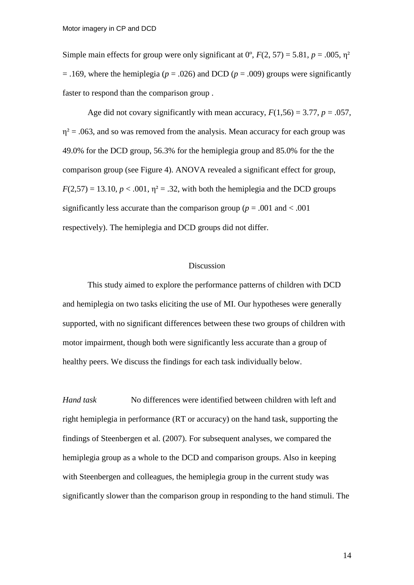Simple main effects for group were only significant at  $0^{\circ}$ ,  $F(2, 57) = 5.81$ ,  $p = .005$ ,  $\eta^2$  $=$  .169, where the hemiplegia ( $p = .026$ ) and DCD ( $p = .009$ ) groups were significantly faster to respond than the comparison group .

Age did not covary significantly with mean accuracy,  $F(1,56) = 3.77$ ,  $p = .057$ ,  $\eta^2$  = .063, and so was removed from the analysis. Mean accuracy for each group was 49.0% for the DCD group, 56.3% for the hemiplegia group and 85.0% for the the comparison group (see Figure 4). ANOVA revealed a significant effect for group,  $F(2,57) = 13.10, p < .001, \eta^2 = .32$ , with both the hemiplegia and the DCD groups significantly less accurate than the comparison group ( $p = .001$  and  $< .001$ ) respectively). The hemiplegia and DCD groups did not differ.

#### Discussion

This study aimed to explore the performance patterns of children with DCD and hemiplegia on two tasks eliciting the use of MI. Our hypotheses were generally supported, with no significant differences between these two groups of children with motor impairment, though both were significantly less accurate than a group of healthy peers. We discuss the findings for each task individually below.

*Hand task* No differences were identified between children with left and right hemiplegia in performance (RT or accuracy) on the hand task, supporting the findings of Steenbergen et al. (2007). For subsequent analyses, we compared the hemiplegia group as a whole to the DCD and comparison groups. Also in keeping with Steenbergen and colleagues, the hemiplegia group in the current study was significantly slower than the comparison group in responding to the hand stimuli. The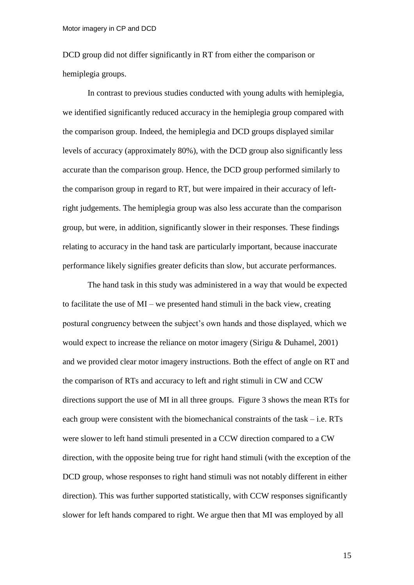DCD group did not differ significantly in RT from either the comparison or hemiplegia groups.

In contrast to previous studies conducted with young adults with hemiplegia, we identified significantly reduced accuracy in the hemiplegia group compared with the comparison group. Indeed, the hemiplegia and DCD groups displayed similar levels of accuracy (approximately 80%), with the DCD group also significantly less accurate than the comparison group. Hence, the DCD group performed similarly to the comparison group in regard to RT, but were impaired in their accuracy of leftright judgements. The hemiplegia group was also less accurate than the comparison group, but were, in addition, significantly slower in their responses. These findings relating to accuracy in the hand task are particularly important, because inaccurate performance likely signifies greater deficits than slow, but accurate performances.

The hand task in this study was administered in a way that would be expected to facilitate the use of MI – we presented hand stimuli in the back view, creating postural congruency between the subject's own hands and those displayed, which we would expect to increase the reliance on motor imagery (Sirigu & Duhamel, 2001) and we provided clear motor imagery instructions. Both the effect of angle on RT and the comparison of RTs and accuracy to left and right stimuli in CW and CCW directions support the use of MI in all three groups. Figure 3 shows the mean RTs for each group were consistent with the biomechanical constraints of the task – i.e. RTs were slower to left hand stimuli presented in a CCW direction compared to a CW direction, with the opposite being true for right hand stimuli (with the exception of the DCD group, whose responses to right hand stimuli was not notably different in either direction). This was further supported statistically, with CCW responses significantly slower for left hands compared to right. We argue then that MI was employed by all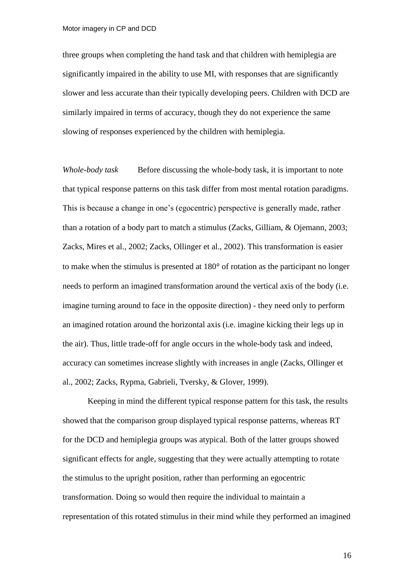three groups when completing the hand task and that children with hemiplegia are significantly impaired in the ability to use MI, with responses that are significantly slower and less accurate than their typically developing peers. Children with DCD are similarly impaired in terms of accuracy, though they do not experience the same slowing of responses experienced by the children with hemiplegia.

*Whole-body task* Before discussing the whole-body task, it is important to note that typical response patterns on this task differ from most mental rotation paradigms. This is because a change in one's (egocentric) perspective is generally made, rather than a rotation of a body part to match a stimulus (Zacks, Gilliam, & Ojemann, 2003; Zacks, Mires et al., 2002; Zacks, Ollinger et al., 2002). This transformation is easier to make when the stimulus is presented at  $180^{\circ}$  of rotation as the participant no longer needs to perform an imagined transformation around the vertical axis of the body (i.e. imagine turning around to face in the opposite direction) - they need only to perform an imagined rotation around the horizontal axis (i.e. imagine kicking their legs up in the air). Thus, little trade-off for angle occurs in the whole-body task and indeed, accuracy can sometimes increase slightly with increases in angle (Zacks, Ollinger et al., 2002; Zacks, Rypma, Gabrieli, Tversky, & Glover, 1999).

Keeping in mind the different typical response pattern for this task, the results showed that the comparison group displayed typical response patterns, whereas RT for the DCD and hemiplegia groups was atypical. Both of the latter groups showed significant effects for angle, suggesting that they were actually attempting to rotate the stimulus to the upright position, rather than performing an egocentric transformation. Doing so would then require the individual to maintain a representation of this rotated stimulus in their mind while they performed an imagined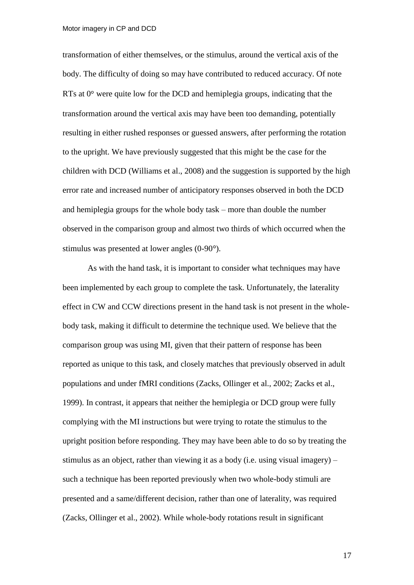transformation of either themselves, or the stimulus, around the vertical axis of the body. The difficulty of doing so may have contributed to reduced accuracy. Of note RTs at  $0^{\circ}$  were quite low for the DCD and hemiplegia groups, indicating that the transformation around the vertical axis may have been too demanding, potentially resulting in either rushed responses or guessed answers, after performing the rotation to the upright. We have previously suggested that this might be the case for the children with DCD (Williams et al., 2008) and the suggestion is supported by the high error rate and increased number of anticipatory responses observed in both the DCD and hemiplegia groups for the whole body task – more than double the number observed in the comparison group and almost two thirds of which occurred when the stimulus was presented at lower angles  $(0-90^{\circ})$ .

As with the hand task, it is important to consider what techniques may have been implemented by each group to complete the task. Unfortunately, the laterality effect in CW and CCW directions present in the hand task is not present in the wholebody task, making it difficult to determine the technique used. We believe that the comparison group was using MI, given that their pattern of response has been reported as unique to this task, and closely matches that previously observed in adult populations and under fMRI conditions (Zacks, Ollinger et al., 2002; Zacks et al., 1999). In contrast, it appears that neither the hemiplegia or DCD group were fully complying with the MI instructions but were trying to rotate the stimulus to the upright position before responding. They may have been able to do so by treating the stimulus as an object, rather than viewing it as a body (i.e. using visual imagery)  $$ such a technique has been reported previously when two whole-body stimuli are presented and a same/different decision, rather than one of laterality, was required (Zacks, Ollinger et al., 2002). While whole-body rotations result in significant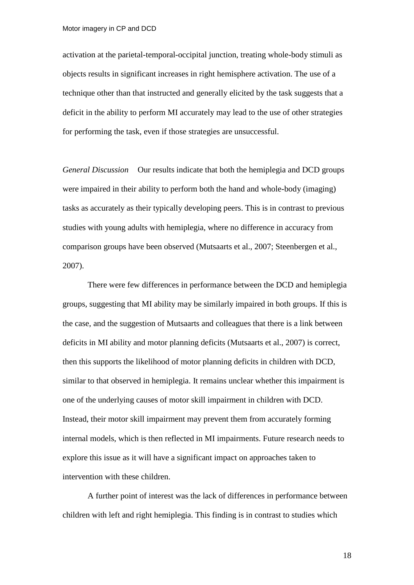activation at the parietal-temporal-occipital junction, treating whole-body stimuli as objects results in significant increases in right hemisphere activation. The use of a technique other than that instructed and generally elicited by the task suggests that a deficit in the ability to perform MI accurately may lead to the use of other strategies for performing the task, even if those strategies are unsuccessful.

*General Discussion* Our results indicate that both the hemiplegia and DCD groups were impaired in their ability to perform both the hand and whole-body (imaging) tasks as accurately as their typically developing peers. This is in contrast to previous studies with young adults with hemiplegia, where no difference in accuracy from comparison groups have been observed (Mutsaarts et al., 2007; Steenbergen et al., 2007).

There were few differences in performance between the DCD and hemiplegia groups, suggesting that MI ability may be similarly impaired in both groups. If this is the case, and the suggestion of Mutsaarts and colleagues that there is a link between deficits in MI ability and motor planning deficits (Mutsaarts et al., 2007) is correct, then this supports the likelihood of motor planning deficits in children with DCD, similar to that observed in hemiplegia. It remains unclear whether this impairment is one of the underlying causes of motor skill impairment in children with DCD. Instead, their motor skill impairment may prevent them from accurately forming internal models, which is then reflected in MI impairments. Future research needs to explore this issue as it will have a significant impact on approaches taken to intervention with these children.

A further point of interest was the lack of differences in performance between children with left and right hemiplegia. This finding is in contrast to studies which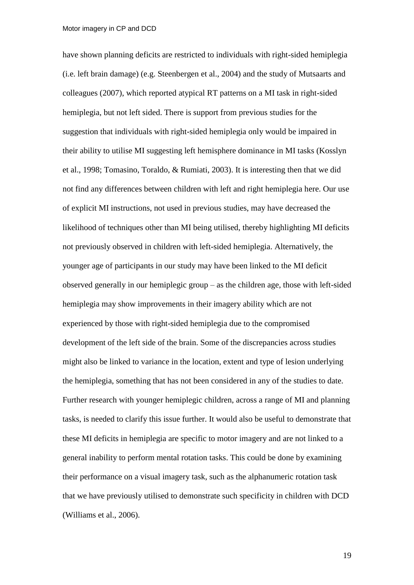have shown planning deficits are restricted to individuals with right-sided hemiplegia (i.e. left brain damage) (e.g. Steenbergen et al., 2004) and the study of Mutsaarts and colleagues (2007), which reported atypical RT patterns on a MI task in right-sided hemiplegia, but not left sided. There is support from previous studies for the suggestion that individuals with right-sided hemiplegia only would be impaired in their ability to utilise MI suggesting left hemisphere dominance in MI tasks (Kosslyn et al., 1998; Tomasino, Toraldo, & Rumiati, 2003). It is interesting then that we did not find any differences between children with left and right hemiplegia here. Our use of explicit MI instructions, not used in previous studies, may have decreased the likelihood of techniques other than MI being utilised, thereby highlighting MI deficits not previously observed in children with left-sided hemiplegia. Alternatively, the younger age of participants in our study may have been linked to the MI deficit observed generally in our hemiplegic group – as the children age, those with left-sided hemiplegia may show improvements in their imagery ability which are not experienced by those with right-sided hemiplegia due to the compromised development of the left side of the brain. Some of the discrepancies across studies might also be linked to variance in the location, extent and type of lesion underlying the hemiplegia, something that has not been considered in any of the studies to date. Further research with younger hemiplegic children, across a range of MI and planning tasks, is needed to clarify this issue further. It would also be useful to demonstrate that these MI deficits in hemiplegia are specific to motor imagery and are not linked to a general inability to perform mental rotation tasks. This could be done by examining their performance on a visual imagery task, such as the alphanumeric rotation task that we have previously utilised to demonstrate such specificity in children with DCD (Williams et al., 2006).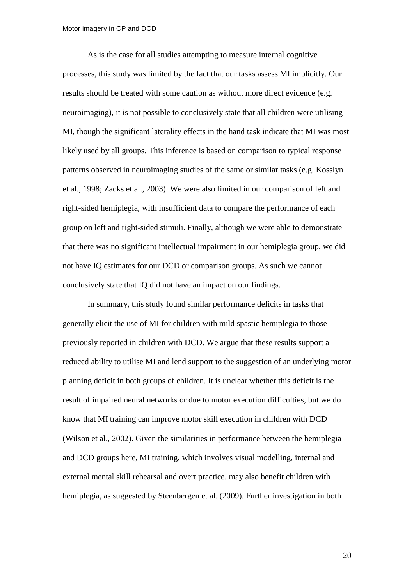As is the case for all studies attempting to measure internal cognitive processes, this study was limited by the fact that our tasks assess MI implicitly. Our results should be treated with some caution as without more direct evidence (e.g. neuroimaging), it is not possible to conclusively state that all children were utilising MI, though the significant laterality effects in the hand task indicate that MI was most likely used by all groups. This inference is based on comparison to typical response patterns observed in neuroimaging studies of the same or similar tasks (e.g. Kosslyn et al., 1998; Zacks et al., 2003). We were also limited in our comparison of left and right-sided hemiplegia, with insufficient data to compare the performance of each group on left and right-sided stimuli. Finally, although we were able to demonstrate that there was no significant intellectual impairment in our hemiplegia group, we did not have IQ estimates for our DCD or comparison groups. As such we cannot conclusively state that IQ did not have an impact on our findings.

In summary, this study found similar performance deficits in tasks that generally elicit the use of MI for children with mild spastic hemiplegia to those previously reported in children with DCD. We argue that these results support a reduced ability to utilise MI and lend support to the suggestion of an underlying motor planning deficit in both groups of children. It is unclear whether this deficit is the result of impaired neural networks or due to motor execution difficulties, but we do know that MI training can improve motor skill execution in children with DCD (Wilson et al., 2002). Given the similarities in performance between the hemiplegia and DCD groups here, MI training, which involves visual modelling, internal and external mental skill rehearsal and overt practice, may also benefit children with hemiplegia, as suggested by Steenbergen et al. (2009). Further investigation in both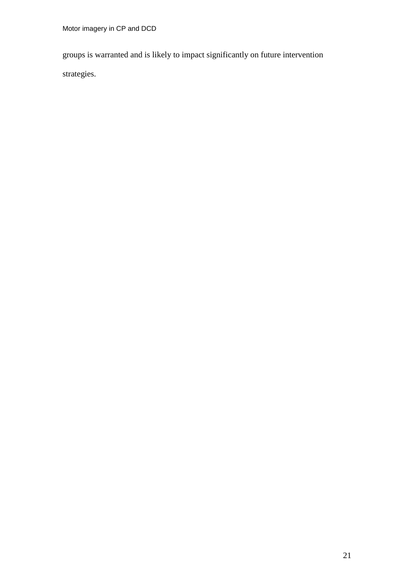groups is warranted and is likely to impact significantly on future intervention strategies.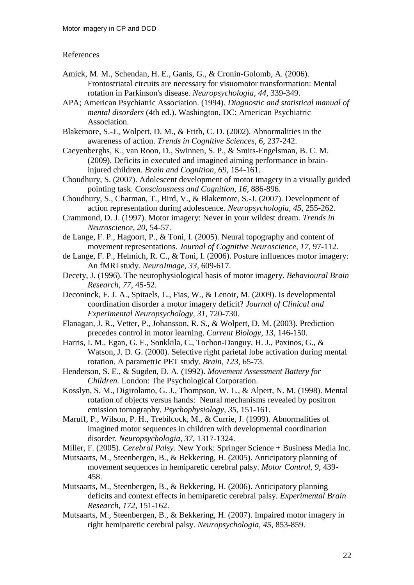# References

- Amick, M. M., Schendan, H. E., Ganis, G., & Cronin-Golomb, A. (2006). Frontostriatal circuits are necessary for visuomotor transformation: Mental rotation in Parkinson's disease. *Neuropsychologia, 44*, 339-349.
- APA; American Psychiatric Association. (1994). *Diagnostic and statistical manual of mental disorders* (4th ed.). Washington, DC: American Psychiatric Association.
- Blakemore, S.-J., Wolpert, D. M., & Frith, C. D. (2002). Abnormalities in the awareness of action. *Trends in Cognitive Sciences, 6*, 237-242.
- Caeyenberghs, K., van Roon, D., Swinnen, S. P., & Smits-Engelsman, B. C. M. (2009). Deficits in executed and imagined aiming performance in braininjured children. *Brain and Cognition, 69*, 154-161.
- Choudhury, S. (2007). Adolescent development of motor imagery in a visually guided pointing task. *Consciousness and Cognition, 16*, 886-896.
- Choudhury, S., Charman, T., Bird, V., & Blakemore, S.-J. (2007). Development of action representation during adolescence. *Neuropsychologia, 45*, 255-262.
- Crammond, D. J. (1997). Motor imagery: Never in your wildest dream. *Trends in Neuroscience, 20*, 54-57.
- de Lange, F. P., Hagoort, P., & Toni, I. (2005). Neural topography and content of movement representations. *Journal of Cognitive Neuroscience, 17*, 97-112.
- de Lange, F. P., Helmich, R. C., & Toni, I. (2006). Posture influences motor imagery: An fMRI study. *NeuroImage, 33*, 609-617.
- Decety, J. (1996). The neurophysiological basis of motor imagery. *Behavioural Brain Research, 77*, 45-52.
- Deconinck, F. J. A., Spitaels, L., Fias, W., & Lenoir, M. (2009). Is developmental coordination disorder a motor imagery deficit? *Journal of Clinical and Experimental Neuropsychology, 31*, 720-730.
- Flanagan, J. R., Vetter, P., Johansson, R. S., & Wolpert, D. M. (2003). Prediction precedes control in motor learning. *Current Biology, 13*, 146-150.
- Harris, I. M., Egan, G. F., Sonkkila, C., Tochon-Danguy, H. J., Paxinos, G., & Watson, J. D. G. (2000). Selective right parietal lobe activation during mental rotation. A parametric PET study. *Brain, 123*, 65-73.
- Henderson, S. E., & Sugden, D. A. (1992). *Movement Assessment Battery for Children.* London: The Psychological Corporation.
- Kosslyn, S. M., Digirolamo, G. J., Thompson, W. L., & Alpert, N. M. (1998). Mental rotation of objects versus hands: Neural mechanisms revealed by positron emission tomography. *Psychophysiology, 35*, 151-161.
- Maruff, P., Wilson, P. H., Trebilcock, M., & Currie, J. (1999). Abnormalities of imagined motor sequences in children with developmental coordination disorder. *Neuropsychologia, 37*, 1317-1324.
- Miller, F. (2005). *Cerebral Palsy*. New York: Springer Science + Business Media Inc.
- Mutsaarts, M., Steenbergen, B., & Bekkering, H. (2005). Anticipatory planning of movement sequences in hemiparetic cerebral palsy. *Motor Control, 9*, 439- 458.
- Mutsaarts, M., Steenbergen, B., & Bekkering, H. (2006). Anticipatory planning deficits and context effects in hemiparetic cerebral palsy. *Experimental Brain Research, 172*, 151-162.
- Mutsaarts, M., Steenbergen, B., & Bekkering, H. (2007). Impaired motor imagery in right hemiparetic cerebral palsy. *Neuropsychologia, 45*, 853-859.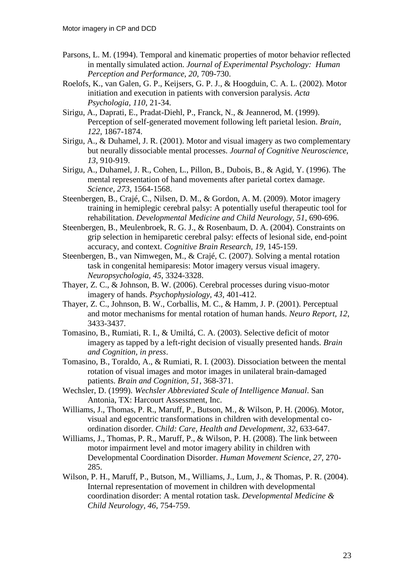- Parsons, L. M. (1994). Temporal and kinematic properties of motor behavior reflected in mentally simulated action. *Journal of Experimental Psychology: Human Perception and Performance, 20*, 709-730.
- Roelofs, K., van Galen, G. P., Keijsers, G. P. J., & Hoogduin, C. A. L. (2002). Motor initiation and execution in patients with conversion paralysis. *Acta Psychologia, 110*, 21-34.
- Sirigu, A., Daprati, E., Pradat-Diehl, P., Franck, N., & Jeannerod, M. (1999). Perception of self-generated movement following left parietal lesion. *Brain, 122*, 1867-1874.
- Sirigu, A., & Duhamel, J. R. (2001). Motor and visual imagery as two complementary but neurally dissociable mental processes. *Journal of Cognitive Neuroscience, 13*, 910-919.
- Sirigu, A., Duhamel, J. R., Cohen, L., Pillon, B., Dubois, B., & Agid, Y. (1996). The mental representation of hand movements after parietal cortex damage. *Science, 273*, 1564-1568.
- Steenbergen, B., Crajé, C., Nilsen, D. M., & Gordon, A. M. (2009). Motor imagery training in hemiplegic cerebral palsy: A potentially useful therapeutic tool for rehabilitation. *Developmental Medicine and Child Neurology, 51*, 690-696.
- Steenbergen, B., Meulenbroek, R. G. J., & Rosenbaum, D. A. (2004). Constraints on grip selection in hemiparetic cerebral palsy: effects of lesional side, end-point accuracy, and context. *Cognitive Brain Research, 19*, 145-159.
- Steenbergen, B., van Nimwegen, M., & Crajé, C. (2007). Solving a mental rotation task in congenital hemiparesis: Motor imagery versus visual imagery. *Neuropsychologia, 45*, 3324-3328.
- Thayer, Z. C., & Johnson, B. W. (2006). Cerebral processes during visuo-motor imagery of hands. *Psychophysiology, 43*, 401-412.
- Thayer, Z. C., Johnson, B. W., Corballis, M. C., & Hamm, J. P. (2001). Perceptual and motor mechanisms for mental rotation of human hands. *Neuro Report, 12*, 3433-3437.
- Tomasino, B., Rumiati, R. I., & Umiltá, C. A. (2003). Selective deficit of motor imagery as tapped by a left-right decision of visually presented hands. *Brain and Cognition, in press*.
- Tomasino, B., Toraldo, A., & Rumiati, R. I. (2003). Dissociation between the mental rotation of visual images and motor images in unilateral brain-damaged patients. *Brain and Cognition, 51*, 368-371.
- Wechsler, D. (1999). *Wechsler Abbreviated Scale of Intelligence Manual*. San Antonia, TX: Harcourt Assessment, Inc.
- Williams, J., Thomas, P. R., Maruff, P., Butson, M., & Wilson, P. H. (2006). Motor, visual and egocentric transformations in children with developmental coordination disorder. *Child: Care, Health and Development, 32*, 633-647.
- Williams, J., Thomas, P. R., Maruff, P., & Wilson, P. H. (2008). The link between motor impairment level and motor imagery ability in children with Developmental Coordination Disorder. *Human Movement Science, 27*, 270- 285.
- Wilson, P. H., Maruff, P., Butson, M., Williams, J., Lum, J., & Thomas, P. R. (2004). Internal representation of movement in children with developmental coordination disorder: A mental rotation task. *Developmental Medicine & Child Neurology, 46*, 754-759.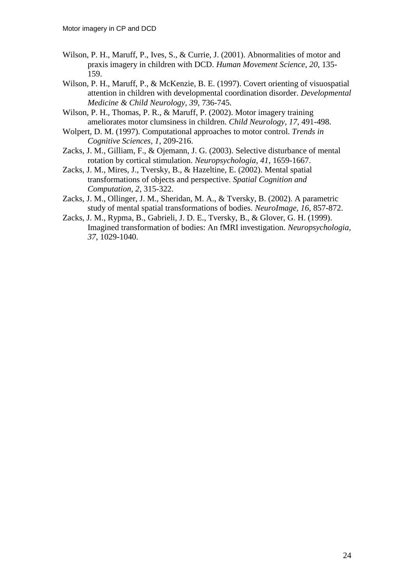- Wilson, P. H., Maruff, P., Ives, S., & Currie, J. (2001). Abnormalities of motor and praxis imagery in children with DCD. *Human Movement Science, 20*, 135- 159.
- Wilson, P. H., Maruff, P., & McKenzie, B. E. (1997). Covert orienting of visuospatial attention in children with developmental coordination disorder. *Developmental Medicine & Child Neurology, 39*, 736-745.
- Wilson, P. H., Thomas, P. R., & Maruff, P. (2002). Motor imagery training ameliorates motor clumsiness in children. *Child Neurology, 17*, 491-498.
- Wolpert, D. M. (1997). Computational approaches to motor control. *Trends in Cognitive Sciences, 1*, 209-216.
- Zacks, J. M., Gilliam, F., & Ojemann, J. G. (2003). Selective disturbance of mental rotation by cortical stimulation. *Neuropsychologia, 41*, 1659-1667.
- Zacks, J. M., Mires, J., Tversky, B., & Hazeltine, E. (2002). Mental spatial transformations of objects and perspective. *Spatial Cognition and Computation, 2*, 315-322.
- Zacks, J. M., Ollinger, J. M., Sheridan, M. A., & Tversky, B. (2002). A parametric study of mental spatial transformations of bodies. *NeuroImage, 16*, 857-872.
- Zacks, J. M., Rypma, B., Gabrieli, J. D. E., Tversky, B., & Glover, G. H. (1999). Imagined transformation of bodies: An fMRI investigation. *Neuropsychologia, 37*, 1029-1040.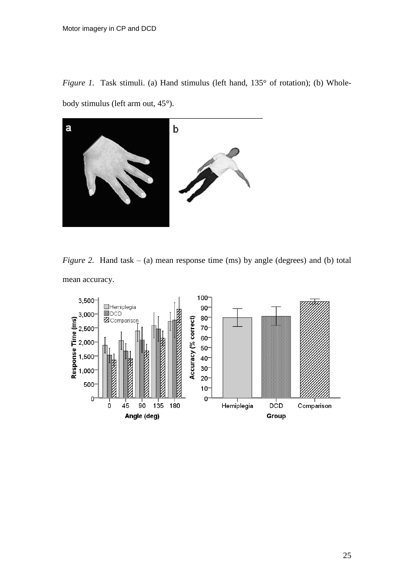*Figure 1.* Task stimuli. (a) Hand stimulus (left hand, 135° of rotation); (b) Wholebody stimulus (left arm out, 45°).



*Figure 2.* Hand task – (a) mean response time (ms) by angle (degrees) and (b) total mean accuracy.